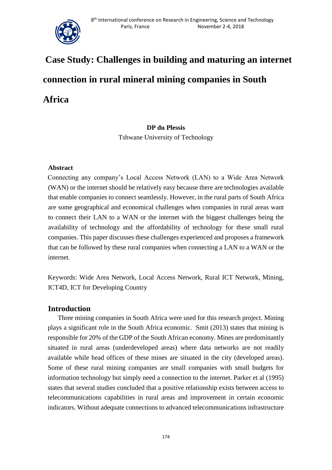

# **Case Study: Challenges in building and maturing an internet connection in rural mineral mining companies in South Africa**

## **DP du Plessis**  Tshwane University of Technology

### **Abstract**

Connecting any company's Local Access Network (LAN) to a Wide Area Network (WAN) or the internet should be relatively easy because there are technologies available that enable companies to connect seamlessly. However, in the rural parts of South Africa are some geographical and economical challenges when companies in rural areas want to connect their LAN to a WAN or the internet with the biggest challenges being the availability of technology and the affordability of technology for these small rural companies. This paper discusses these challenges experienced and proposes a framework that can be followed by these rural companies when connecting a LAN to a WAN or the internet.

Keywords: Wide Area Network, Local Access Network, Rural ICT Network, Mining, ICT4D, ICT for Developing Country

## **Introduction**

Three mining companies in South Africa were used for this research project. Mining plays a significant role in the South Africa economic. Smit (2013) states that mining is responsible for 20% of the GDP of the South African economy. Mines are predominantly situated in rural areas (underdeveloped areas) where data networks are not readily available while head offices of these mines are situated in the city (developed areas). Some of these rural mining companies are small companies with small budgets for information technology but simply need a connection to the internet. Parker et al (1995) states that several studies concluded that a positive relationship exists between access to telecommunications capabilities in rural areas and improvement in certain economic indicators. Without adequate connections to advanced telecommunications infrastructure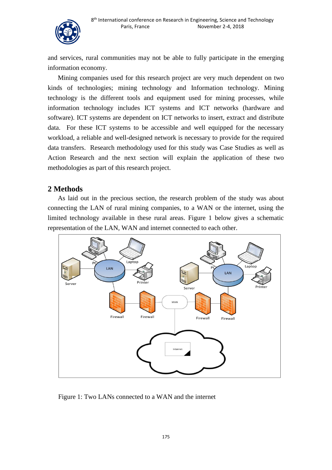

and services, rural communities may not be able to fully participate in the emerging information economy.

Mining companies used for this research project are very much dependent on two kinds of technologies; mining technology and Information technology. Mining technology is the different tools and equipment used for mining processes, while information technology includes ICT systems and ICT networks (hardware and software). ICT systems are dependent on ICT networks to insert, extract and distribute data. For these ICT systems to be accessible and well equipped for the necessary workload, a reliable and well-designed network is necessary to provide for the required data transfers. Research methodology used for this study was Case Studies as well as Action Research and the next section will explain the application of these two methodologies as part of this research project.

# **2 Methods**

As laid out in the precious section, the research problem of the study was about connecting the LAN of rural mining companies, to a WAN or the internet, using the limited technology available in these rural areas. Figure 1 below gives a schematic representation of the LAN, WAN and internet connected to each other.



Figure 1: Two LANs connected to a WAN and the internet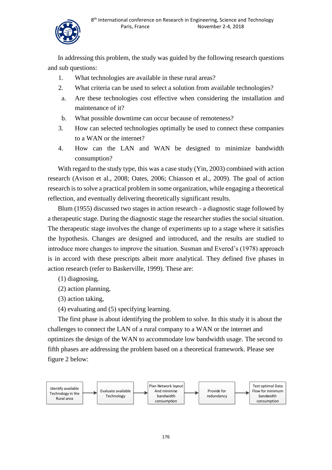

In addressing this problem, the study was guided by the following research questions and sub questions:

- 1. What technologies are available in these rural areas?
- 2. What criteria can be used to select a solution from available technologies?
- a. Are these technologies cost effective when considering the installation and maintenance of it?
- b. What possible downtime can occur because of remoteness?
- 3. How can selected technologies optimally be used to connect these companies to a WAN or the internet?
- 4. How can the LAN and WAN be designed to minimize bandwidth consumption?

With regard to the study type, this was a case study (Yin, 2003) combined with action research (Avison et al., 2008; Oates, 2006; Chiasson et al., 2009). The goal of action research is to solve a practical problem in some organization, while engaging a theoretical reflection, and eventually delivering theoretically significant results.

Blum (1955) discussed two stages in action research - a diagnostic stage followed by a therapeutic stage. During the diagnostic stage the researcher studies the social situation. The therapeutic stage involves the change of experiments up to a stage where it satisfies the hypothesis. Changes are designed and introduced, and the results are studied to introduce more changes to improve the situation. Susman and Evered's (1978) approach is in accord with these prescripts albeit more analytical. They defined five phases in action research (refer to Baskerville, 1999). These are:

- (1) diagnosing,
- (2) action planning,
- (3) action taking,
- (4) evaluating and (5) specifying learning.

The first phase is about identifying the problem to solve. In this study it is about the challenges to connect the LAN of a rural company to a WAN or the internet and optimizes the design of the WAN to accommodate low bandwidth usage. The second to fifth phases are addressing the problem based on a theoretical framework. Please see figure 2 below:

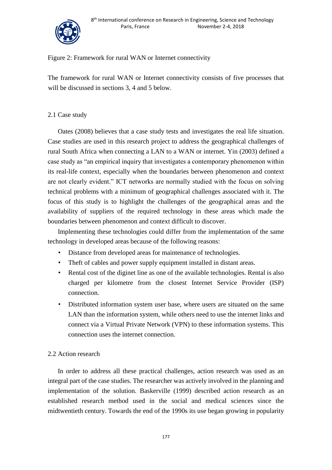



### Figure 2: Framework for rural WAN or Internet connectivity

The framework for rural WAN or Internet connectivity consists of five processes that will be discussed in sections 3, 4 and 5 below.

#### 2.1 Case study

Oates (2008) believes that a case study tests and investigates the real life situation. Case studies are used in this research project to address the geographical challenges of rural South Africa when connecting a LAN to a WAN or internet. Yin (2003) defined a case study as "an empirical inquiry that investigates a contemporary phenomenon within its real-life context, especially when the boundaries between phenomenon and context are not clearly evident." ICT networks are normally studied with the focus on solving technical problems with a minimum of geographical challenges associated with it. The focus of this study is to highlight the challenges of the geographical areas and the availability of suppliers of the required technology in these areas which made the boundaries between phenomenon and context difficult to discover.

Implementing these technologies could differ from the implementation of the same technology in developed areas because of the following reasons:

- Distance from developed areas for maintenance of technologies.
- Theft of cables and power supply equipment installed in distant areas.
- Rental cost of the diginet line as one of the available technologies. Rental is also charged per kilometre from the closest Internet Service Provider (ISP) connection.
- Distributed information system user base, where users are situated on the same LAN than the information system, while others need to use the internet links and connect via a Virtual Private Network (VPN) to these information systems. This connection uses the internet connection.

### 2.2 Action research

In order to address all these practical challenges, action research was used as an integral part of the case studies. The researcher was actively involved in the planning and implementation of the solution. Baskerville (1999) described action research as an established research method used in the social and medical sciences since the midtwentieth century. Towards the end of the 1990s its use began growing in popularity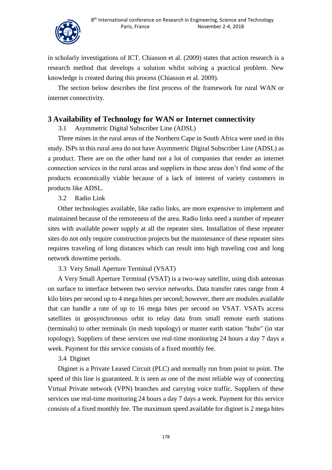

in scholarly investigations of ICT. Chiasson et al. (2009) states that action research is a research method that develops a solution whilst solving a practical problem. New knowledge is created during this process (Chiasson et al. 2009).

The section below describes the first process of the framework for rural WAN or internet connectivity.

# **3 Availability of Technology for WAN or Internet connectivity**

3.1 Asymmetric Digital Subscriber Line (ADSL)

Three mines in the rural areas of the Northern Cape in South Africa were used in this study. ISPs in this rural area do not have Asymmetric Digital Subscriber Line (ADSL) as a product. There are on the other hand not a lot of companies that render an internet connection services in the rural areas and suppliers in these areas don't find some of the products economically viable because of a lack of interest of variety customers in products like ADSL.

3.2 Radio Link

Other technologies available, like radio links, are more expensive to implement and maintained because of the remoteness of the area. Radio links need a number of repeater sites with available power supply at all the repeater sites. Installation of these repeater sites do not only require construction projects but the maintenance of these repeater sites requires traveling of long distances which can result into high traveling cost and long network downtime periods.

3.3 Very Small Aperture Terminal (VSAT)

A Very Small Aperture Terminal (VSAT) is a two-way satellite, using dish antennas on surface to interface between two service networks. Data transfer rates range from 4 kilo bites per second up to 4 mega bites per second; however, there are modules available that can handle a rate of up to 16 mega bites per second on VSAT. VSATs access satellites in geosynchronous orbit to relay data from small remote earth stations (terminals) to other terminals (in mesh topology) or master earth station "hubs" (in star topology). Suppliers of these services use real-time monitoring 24 hours a day 7 days a week. Payment for this service consists of a fixed monthly fee.

3.4 Diginet

Diginet is a Private Leased Circuit (PLC) and normally run from point to point. The speed of this line is guaranteed. It is seen as one of the most reliable way of connecting Virtual Private network (VPN) branches and carrying voice traffic. Suppliers of these services use real-time monitoring 24 hours a day 7 days a week. Payment for this service consists of a fixed monthly fee. The maximum speed available for diginet is 2 mega bites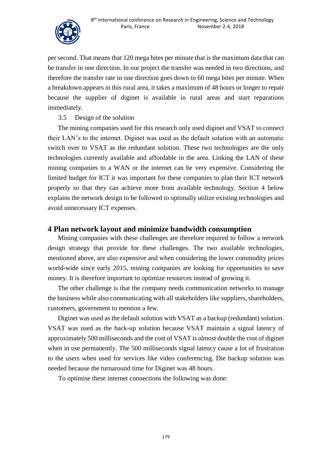

per second. That means that 120 mega bites per minute that is the maximum data that can be transfer in one direction. In our project the transfer was needed in two directions, and therefore the transfer rate in one direction goes down to 60 mega bites per minute. When a breakdown appears in this rural area, it takes a maximum of 48 hours or longer to repair because the supplier of diginet is available in rural areas and start reparations immediately.

## 3.5 Design of the solution

The mining companies used for this research only used diginet and VSAT to connect their LAN's to the internet. Diginet was used as the default solution with an automatic switch over to VSAT as the redundant solution. These two technologies are the only technologies currently available and affordable in the area. Linking the LAN of these mining companies to a WAN or the internet can be very expensive. Considering the limited budget for ICT it was important for these companies to plan their ICT network properly so that they can achieve more from available technology. Section 4 below explains the network design to be followed to optimally utilize existing technologies and avoid unnecessary ICT expenses.

# **4 Plan network layout and minimize bandwidth consumption**

Mining companies with these challenges are therefore required to follow a network design strategy that provide for these challenges. The two available technologies, mentioned above, are also expensive and when considering the lower commodity prices world-wide since early 2015, mining companies are looking for opportunities to save money. It is therefore important to optimize resources instead of growing it.

The other challenge is that the company needs communication networks to manage the business while also communicating with all stakeholders like suppliers, shareholders, customers, government to mention a few.

Diginet was used as the default solution with VSAT as a backup (redundant) solution. VSAT was used as the back-up solution because VSAT maintain a signal latency of approximately 500 milliseconds and the cost of VSAT is almost double the cost of diginet when in use permanently. The 500 milliseconds signal latency cause a lot of frustration to the users when used for services like video conferencing. Die backup solution was needed because the turnaround time for Diginet was 48 hours.

To optimise these internet connections the following was done: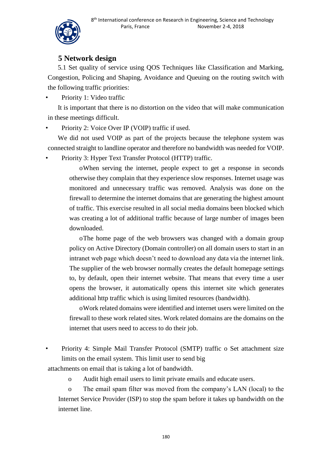

# **5 Network design**

5.1 Set quality of service using QOS Techniques like Classification and Marking, Congestion, Policing and Shaping, Avoidance and Queuing on the routing switch with the following traffic priorities:

Priority 1: Video traffic

It is important that there is no distortion on the video that will make communication in these meetings difficult.

• Priority 2: Voice Over IP (VOIP) traffic if used.

We did not used VOIP as part of the projects because the telephone system was connected straight to landline operator and therefore no bandwidth was needed for VOIP.

• Priority 3: Hyper Text Transfer Protocol (HTTP) traffic.

oWhen serving the internet, people expect to get a response in seconds otherwise they complain that they experience slow responses. Internet usage was monitored and unnecessary traffic was removed. Analysis was done on the firewall to determine the internet domains that are generating the highest amount of traffic. This exercise resulted in all social media domains been blocked which was creating a lot of additional traffic because of large number of images been downloaded.

oThe home page of the web browsers was changed with a domain group policy on Active Directory (Domain controller) on all domain users to start in an intranet web page which doesn't need to download any data via the internet link. The supplier of the web browser normally creates the default homepage settings to, by default, open their internet website. That means that every time a user opens the browser, it automatically opens this internet site which generates additional http traffic which is using limited resources (bandwidth).

oWork related domains were identified and internet users were limited on the firewall to these work related sites. Work related domains are the domains on the internet that users need to access to do their job.

• Priority 4: Simple Mail Transfer Protocol (SMTP) traffic o Set attachment size limits on the email system. This limit user to send big

attachments on email that is taking a lot of bandwidth.

o Audit high email users to limit private emails and educate users.

o The email spam filter was moved from the company's LAN (local) to the Internet Service Provider (ISP) to stop the spam before it takes up bandwidth on the internet line.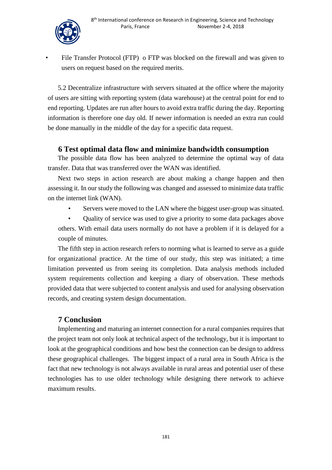

File Transfer Protocol (FTP) o FTP was blocked on the firewall and was given to users on request based on the required merits.

5.2 Decentralize infrastructure with servers situated at the office where the majority of users are sitting with reporting system (data warehouse) at the central point for end to end reporting. Updates are run after hours to avoid extra traffic during the day. Reporting information is therefore one day old. If newer information is needed an extra run could be done manually in the middle of the day for a specific data request.

# **6 Test optimal data flow and minimize bandwidth consumption**

The possible data flow has been analyzed to determine the optimal way of data transfer. Data that was transferred over the WAN was identified.

Next two steps in action research are about making a change happen and then assessing it. In our study the following was changed and assessed to minimize data traffic on the internet link (WAN).

Servers were moved to the LAN where the biggest user-group was situated.

• Quality of service was used to give a priority to some data packages above others. With email data users normally do not have a problem if it is delayed for a couple of minutes.

The fifth step in action research refers to norming what is learned to serve as a guide for organizational practice. At the time of our study, this step was initiated; a time limitation prevented us from seeing its completion. Data analysis methods included system requirements collection and keeping a diary of observation. These methods provided data that were subjected to content analysis and used for analysing observation records, and creating system design documentation.

# **7 Conclusion**

Implementing and maturing an internet connection for a rural companies requires that the project team not only look at technical aspect of the technology, but it is important to look at the geographical conditions and how best the connection can be design to address these geographical challenges. The biggest impact of a rural area in South Africa is the fact that new technology is not always available in rural areas and potential user of these technologies has to use older technology while designing there network to achieve maximum results.